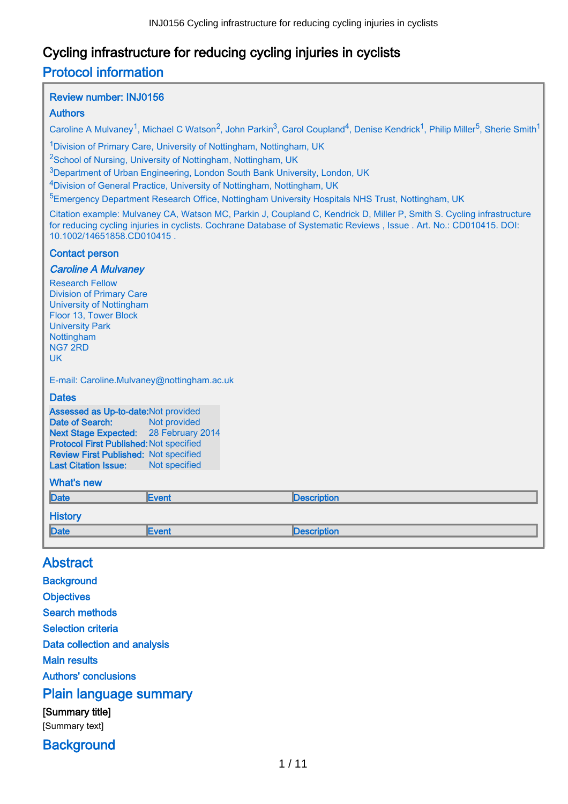# Cycling infrastructure for reducing cycling injuries in cyclists Protocol information

### Review number: INJ0156

### Authors

Caroline A Mulvanev<sup>1</sup>, Michael C Watson<sup>2</sup>, John Parkin<sup>3</sup>, Carol Coupland<sup>4</sup>, Denise Kendrick<sup>1</sup>, Philip Miller<sup>5</sup>, Sherie Smith<sup>1</sup>

<sup>1</sup>Division of Primary Care, University of Nottingham, Nottingham, UK

<sup>2</sup>School of Nursing, University of Nottingham, Nottingham, UK

<sup>3</sup>Department of Urban Engineering, London South Bank University, London, UK

<sup>4</sup>Division of General Practice, University of Nottingham, Nottingham, UK

<sup>5</sup>Emergency Department Research Office, Nottingham University Hospitals NHS Trust, Nottingham, UK

Citation example: Mulvaney CA, Watson MC, Parkin J, Coupland C, Kendrick D, Miller P, Smith S. Cycling infrastructure for reducing cycling injuries in cyclists. Cochrane Database of Systematic Reviews , Issue . Art. No.: CD010415. DOI: 10.1002/14651858.CD010415 .

#### Contact person

#### Caroline A Mulvaney

Research Fellow Division of Primary Care University of Nottingham Floor 13, Tower Block University Park Nottingham NG7 2RD UK

E-mail: Caroline.Mulvaney@nottingham.ac.uk

#### **Dates**

Assessed as Up-to-date:Not provided Date of Search: Not provided Next Stage Expected: 28 February 2014 Protocol First Published: Not specified Review First Published: Not specified Last Citation Issue: Not specified

### What's new

| <b>THURS</b> IN TH |               |             |
|--------------------|---------------|-------------|
| Date               | <b>IEvent</b> | Description |
| <b>History</b>     |               |             |
| Date               | <b>Event</b>  | Description |

## Abstract

**Background Objectives** Search methods Selection criteria Data collection and analysis Main results Authors' conclusions Plain language summary [Summary title] [Summary text]

**Background**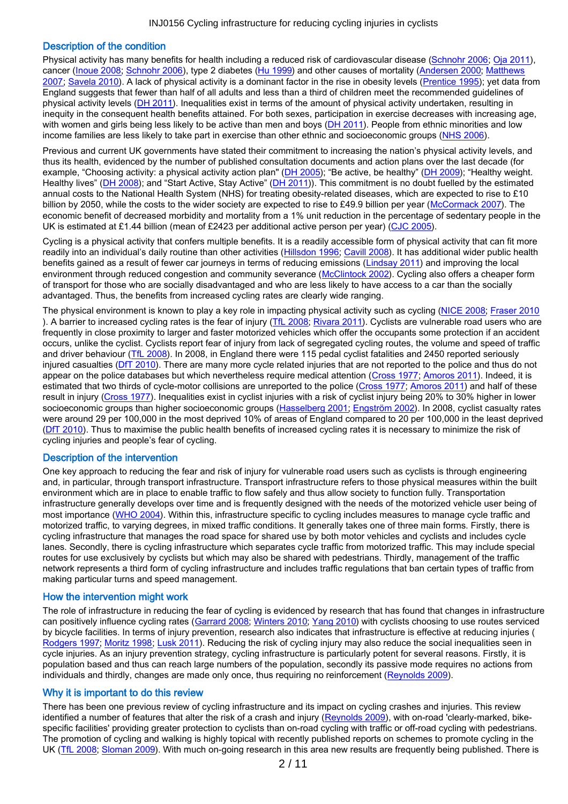#### Description of the condition

Physical activity has many benefits for health including a reduced risk of cardiovascular disease [\(Schnohr 2006](#page-8-0); [Oja 2011](#page-8-0)), cancer [\(Inoue 2008](#page-7-0); [Schnohr 2006](#page-8-0)), type 2 diabetes [\(Hu 1999](#page-7-0)) and other causes of mortality [\(Andersen 2000](#page-6-0); [Matthews](#page-8-0) [2007](#page-8-0); [Savela 2010](#page-8-0)). A lack of physical activity is a dominant factor in the rise in obesity levels ([Prentice 1995](#page-8-0)); yet data from England suggests that fewer than half of all adults and less than a third of children meet the recommended guidelines of physical activity levels [\(DH 2011](#page-7-0)). Inequalities exist in terms of the amount of physical activity undertaken, resulting in inequity in the consequent health benefits attained. For both sexes, participation in exercise decreases with increasing age, with women and girls being less likely to be active than men and boys [\(DH 2011](#page-7-0)). People from ethnic minorities and low income families are less likely to take part in exercise than other ethnic and socioeconomic groups [\(NHS 2006](#page-8-0)).

Previous and current UK governments have stated their commitment to increasing the nation's physical activity levels, and thus its health, evidenced by the number of published consultation documents and action plans over the last decade (for example, "Choosing activity: a physical activity action plan" [\(DH 2005](#page-7-0)); "Be active, be healthy" [\(DH 2009](#page-7-0)); "Healthy weight. Healthy lives" [\(DH 2008](#page-7-0)); and "Start Active, Stay Active" [\(DH 2011](#page-7-0))). This commitment is no doubt fuelled by the estimated annual costs to the National Health System (NHS) for treating obesity-related diseases, which are expected to rise to £10 billion by 2050, while the costs to the wider society are expected to rise to £49.9 billion per year [\(McCormack 2007](#page-8-0)). The economic benefit of decreased morbidity and mortality from a 1% unit reduction in the percentage of sedentary people in the UK is estimated at £1.44 billion (mean of £2423 per additional active person per year) [\(CJC 2005](#page-7-0)).

Cycling is a physical activity that confers multiple benefits. It is a readily accessible form of physical activity that can fit more readily into an individual's daily routine than other activities [\(Hillsdon 1996](#page-7-0); [Cavill 2008](#page-7-0)). It has additional wider public health benefits gained as a result of fewer car journeys in terms of reducing emissions [\(Lindsay 2011](#page-8-0)) and improving the local environment through reduced congestion and community severance ([McClintock 2002](#page-8-0)). Cycling also offers a cheaper form of transport for those who are socially disadvantaged and who are less likely to have access to a car than the socially advantaged. Thus, the benefits from increased cycling rates are clearly wide ranging.

The physical environment is known to play a key role in impacting physical activity such as cycling [\(NICE 2008](#page-8-0); [Fraser 2010](#page-7-0) ). A barrier to increased cycling rates is the fear of injury [\(TfL 2008](#page-9-0); [Rivara 2011](#page-8-0)). Cyclists are vulnerable road users who are frequently in close proximity to larger and faster motorized vehicles which offer the occupants some protection if an accident occurs, unlike the cyclist. Cyclists report fear of injury from lack of segregated cycling routes, the volume and speed of traffic and driver behaviour [\(TfL 2008](#page-9-0)). In 2008, in England there were 115 pedal cyclist fatalities and 2450 reported seriously injured casualties [\(DfT 2010](#page-7-0)). There are many more cycle related injuries that are not reported to the police and thus do not appear on the police databases but which nevertheless require medical attention [\(Cross 1977](#page-7-0); [Amoros 2011](#page-6-0)). Indeed, it is estimated that two thirds of cycle-motor collisions are unreported to the police [\(Cross 1977](#page-7-0); [Amoros 2011](#page-6-0)) and half of these result in injury [\(Cross 1977](#page-7-0)). Inequalities exist in cyclist injuries with a risk of cyclist injury being 20% to 30% higher in lower socioeconomic groups than higher socioeconomic groups [\(Hasselberg 2001](#page-7-0); [Engström 2002](#page-7-0)). In 2008, cyclist casualty rates were around 29 per 100,000 in the most deprived 10% of areas of England compared to 20 per 100,000 in the least deprived [\(DfT 2010](#page-7-0)). Thus to maximise the public health benefits of increased cycling rates it is necessary to minimize the risk of cycling injuries and people's fear of cycling.

#### Description of the intervention

One key approach to reducing the fear and risk of injury for vulnerable road users such as cyclists is through engineering and, in particular, through transport infrastructure. Transport infrastructure refers to those physical measures within the built environment which are in place to enable traffic to flow safely and thus allow society to function fully. Transportation infrastructure generally develops over time and is frequently designed with the needs of the motorized vehicle user being of most importance [\(WHO 2004](#page-9-0)). Within this, infrastructure specific to cycling includes measures to manage cycle traffic and motorized traffic, to varying degrees, in mixed traffic conditions. It generally takes one of three main forms. Firstly, there is cycling infrastructure that manages the road space for shared use by both motor vehicles and cyclists and includes cycle lanes. Secondly, there is cycling infrastructure which separates cycle traffic from motorized traffic. This may include special routes for use exclusively by cyclists but which may also be shared with pedestrians. Thirdly, management of the traffic network represents a third form of cycling infrastructure and includes traffic regulations that ban certain types of traffic from making particular turns and speed management.

#### How the intervention might work

The role of infrastructure in reducing the fear of cycling is evidenced by research that has found that changes in infrastructure can positively influence cycling rates ([Garrard 2008](#page-7-0); [Winters 2010](#page-9-0); [Yang 2010](#page-9-0)) with cyclists choosing to use routes serviced by bicycle facilities. In terms of injury prevention, research also indicates that infrastructure is effective at reducing injuries ( [Rodgers 1997](#page-8-0); [Moritz 1998](#page-8-0); [Lusk 2011](#page-8-0)). Reducing the risk of cycling injury may also reduce the social inequalities seen in cycle injuries. As an injury prevention strategy, cycling infrastructure is particularly potent for several reasons. Firstly, it is population based and thus can reach large numbers of the population, secondly its passive mode requires no actions from individuals and thirdly, changes are made only once, thus requiring no reinforcement [\(Reynolds 2009](#page-8-0)).

#### Why it is important to do this review

There has been one previous review of cycling infrastructure and its impact on cycling crashes and injuries. This review identified a number of features that alter the risk of a crash and injury [\(Reynolds 2009](#page-8-0)), with on-road 'clearly-marked, bikespecific facilities' providing greater protection to cyclists than on-road cycling with traffic or off-road cycling with pedestrians. The promotion of cycling and walking is highly topical with recently published reports on schemes to promote cycling in the UK [\(TfL 2008](#page-9-0); [Sloman 2009](#page-9-0)). With much on-going research in this area new results are frequently being published. There is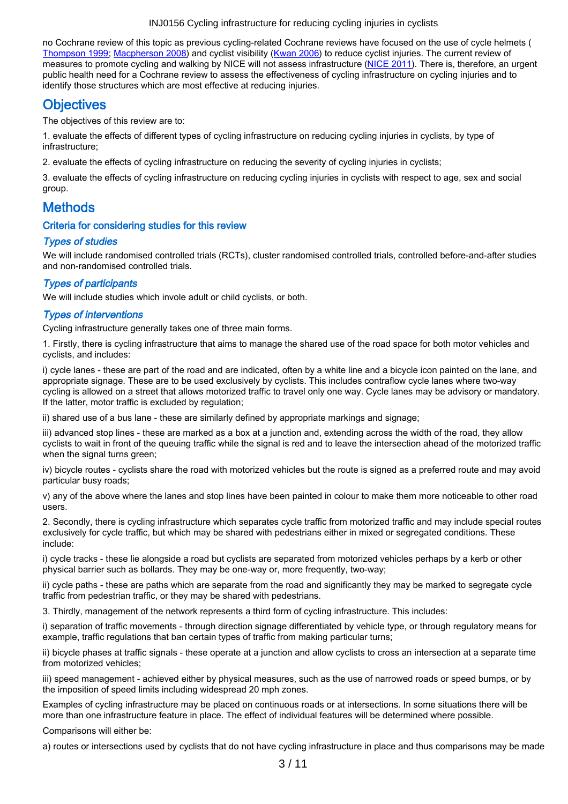no Cochrane review of this topic as previous cycling-related Cochrane reviews have focused on the use of cycle helmets ( [Thompson 1999](#page-9-0); [Macpherson 2008](#page-8-0)) and cyclist visibility [\(Kwan 2006](#page-7-0)) to reduce cyclist injuries. The current review of measures to promote cycling and walking by NICE will not assess infrastructure [\(NICE 2011](#page-8-0)). There is, therefore, an urgent public health need for a Cochrane review to assess the effectiveness of cycling infrastructure on cycling injuries and to identify those structures which are most effective at reducing injuries.

## **Objectives**

The objectives of this review are to:

1. evaluate the effects of different types of cycling infrastructure on reducing cycling injuries in cyclists, by type of infrastructure;

2. evaluate the effects of cycling infrastructure on reducing the severity of cycling injuries in cyclists;

3. evaluate the effects of cycling infrastructure on reducing cycling injuries in cyclists with respect to age, sex and social group.

# **Methods**

### Criteria for considering studies for this review

### Types of studies

We will include randomised controlled trials (RCTs), cluster randomised controlled trials, controlled before-and-after studies and non-randomised controlled trials.

### Types of participants

We will include studies which invole adult or child cyclists, or both.

### Types of interventions

Cycling infrastructure generally takes one of three main forms.

1. Firstly, there is cycling infrastructure that aims to manage the shared use of the road space for both motor vehicles and cyclists, and includes:

i) cycle lanes - these are part of the road and are indicated, often by a white line and a bicycle icon painted on the lane, and appropriate signage. These are to be used exclusively by cyclists. This includes contraflow cycle lanes where two-way cycling is allowed on a street that allows motorized traffic to travel only one way. Cycle lanes may be advisory or mandatory. If the latter, motor traffic is excluded by regulation;

ii) shared use of a bus lane - these are similarly defined by appropriate markings and signage;

iii) advanced stop lines - these are marked as a box at a junction and, extending across the width of the road, they allow cyclists to wait in front of the queuing traffic while the signal is red and to leave the intersection ahead of the motorized traffic when the signal turns green;

iv) bicycle routes - cyclists share the road with motorized vehicles but the route is signed as a preferred route and may avoid particular busy roads;

v) any of the above where the lanes and stop lines have been painted in colour to make them more noticeable to other road users.

2. Secondly, there is cycling infrastructure which separates cycle traffic from motorized traffic and may include special routes exclusively for cycle traffic, but which may be shared with pedestrians either in mixed or segregated conditions. These include:

i) cycle tracks - these lie alongside a road but cyclists are separated from motorized vehicles perhaps by a kerb or other physical barrier such as bollards. They may be one-way or, more frequently, two-way;

ii) cycle paths - these are paths which are separate from the road and significantly they may be marked to segregate cycle traffic from pedestrian traffic, or they may be shared with pedestrians.

3. Thirdly, management of the network represents a third form of cycling infrastructure. This includes:

i) separation of traffic movements - through direction signage differentiated by vehicle type, or through regulatory means for example, traffic regulations that ban certain types of traffic from making particular turns;

ii) bicycle phases at traffic signals - these operate at a junction and allow cyclists to cross an intersection at a separate time from motorized vehicles;

iii) speed management - achieved either by physical measures, such as the use of narrowed roads or speed bumps, or by the imposition of speed limits including widespread 20 mph zones.

Examples of cycling infrastructure may be placed on continuous roads or at intersections. In some situations there will be more than one infrastructure feature in place. The effect of individual features will be determined where possible.

Comparisons will either be:

a) routes or intersections used by cyclists that do not have cycling infrastructure in place and thus comparisons may be made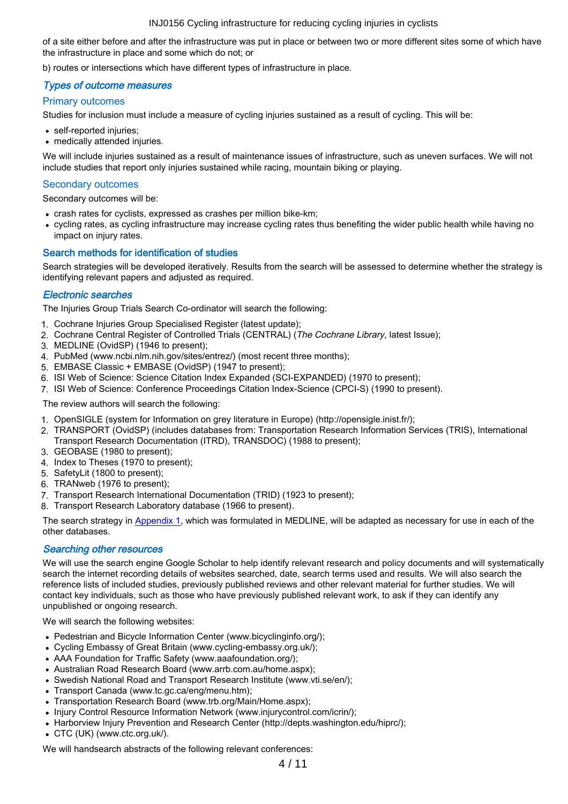of a site either before and after the infrastructure was put in place or between two or more different sites some of which have the infrastructure in place and some which do not; or

b) routes or intersections which have different types of infrastructure in place.

#### Types of outcome measures

#### Primary outcomes

Studies for inclusion must include a measure of cycling injuries sustained as a result of cycling. This will be:

- self-reported injuries;
- medically attended injuries.

We will include injuries sustained as a result of maintenance issues of infrastructure, such as uneven surfaces. We will not include studies that report only injuries sustained while racing, mountain biking or playing.

#### Secondary outcomes

Secondary outcomes will be:

- crash rates for cyclists, expressed as crashes per million bike-km;
- cycling rates, as cycling infrastructure may increase cycling rates thus benefiting the wider public health while having no impact on injury rates.

#### Search methods for identification of studies

Search strategies will be developed iteratively. Results from the search will be assessed to determine whether the strategy is identifying relevant papers and adjusted as required.

#### Electronic searches

The Injuries Group Trials Search Co-ordinator will search the following:

- 1. Cochrane Injuries Group Specialised Register (latest update);
- 2. Cochrane Central Register of Controlled Trials (CENTRAL) (The Cochrane Library, latest Issue);
- 3. MEDLINE (OvidSP) (1946 to present);
- 4. PubMed (www.ncbi.nlm.nih.gov/sites/entrez/) (most recent three months);
- 5. EMBASE Classic + EMBASE (OvidSP) (1947 to present);
- 6. ISI Web of Science: Science Citation Index Expanded (SCI-EXPANDED) (1970 to present);
- 7. ISI Web of Science: Conference Proceedings Citation Index-Science (CPCI-S) (1990 to present).

The review authors will search the following:

- 1. OpenSIGLE (system for Information on grey literature in Europe) (http://opensigle.inist.fr/);
- 2. TRANSPORT (OvidSP) (includes databases from: Transportation Research Information Services (TRIS), International Transport Research Documentation (ITRD), TRANSDOC) (1988 to present);
- 3. GEOBASE (1980 to present);
- 4. Index to Theses (1970 to present);
- 5. SafetyLit (1800 to present);
- 6. TRANweb (1976 to present);
- 7. Transport Research International Documentation (TRID) (1923 to present);
- 8. Transport Research Laboratory database (1966 to present).

The search strategy in [Appendix 1](#page-9-0), which was formulated in MEDLINE, will be adapted as necessary for use in each of the other databases.

#### Searching other resources

We will use the search engine Google Scholar to help identify relevant research and policy documents and will systematically search the internet recording details of websites searched, date, search terms used and results. We will also search the reference lists of included studies, previously published reviews and other relevant material for further studies. We will contact key individuals, such as those who have previously published relevant work, to ask if they can identify any unpublished or ongoing research.

We will search the following websites:

- Pedestrian and Bicycle Information Center (www.bicyclinginfo.org/);
- Cycling Embassy of Great Britain (www.cycling-embassy.org.uk/);
- AAA Foundation for Traffic Safety (www.aaafoundation.org/);
- Australian Road Research Board (www.arrb.com.au/home.aspx);
- Swedish National Road and Transport Research Institute (www.vti.se/en/);
- Transport Canada (www.tc.gc.ca/eng/menu.htm);
- Transportation Research Board (www.trb.org/Main/Home.aspx);
- Injury Control Resource Information Network (www.injurycontrol.com/icrin/);
- Harborview Injury Prevention and Research Center (http://depts.washington.edu/hiprc/);
- CTC (UK) (www.ctc.org.uk/).

We will handsearch abstracts of the following relevant conferences: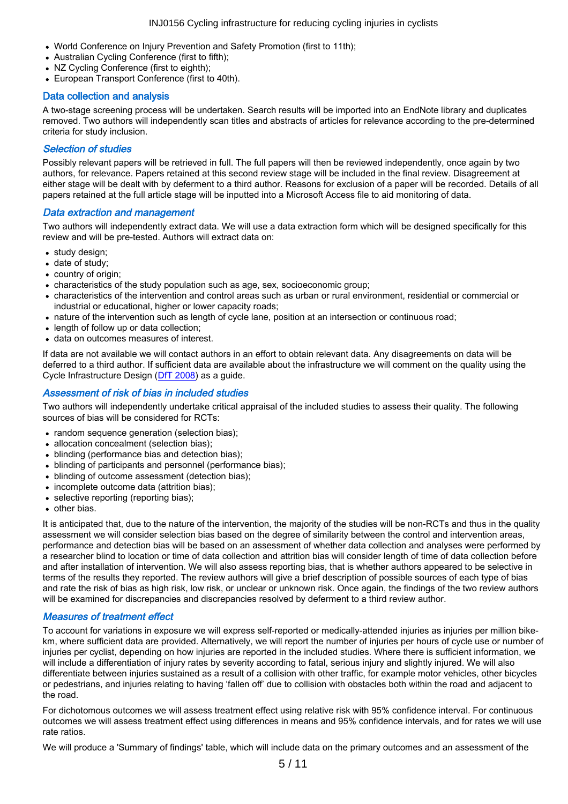- World Conference on Injury Prevention and Safety Promotion (first to 11th);
- Australian Cycling Conference (first to fifth);
- NZ Cycling Conference (first to eighth):
- European Transport Conference (first to 40th).

#### Data collection and analysis

A two-stage screening process will be undertaken. Search results will be imported into an EndNote library and duplicates removed. Two authors will independently scan titles and abstracts of articles for relevance according to the pre-determined criteria for study inclusion.

#### Selection of studies

Possibly relevant papers will be retrieved in full. The full papers will then be reviewed independently, once again by two authors, for relevance. Papers retained at this second review stage will be included in the final review. Disagreement at either stage will be dealt with by deferment to a third author. Reasons for exclusion of a paper will be recorded. Details of all papers retained at the full article stage will be inputted into a Microsoft Access file to aid monitoring of data.

#### Data extraction and management

Two authors will independently extract data. We will use a data extraction form which will be designed specifically for this review and will be pre-tested. Authors will extract data on:

- study design;
- date of study;
- country of origin;
- characteristics of the study population such as age, sex, socioeconomic group;
- characteristics of the intervention and control areas such as urban or rural environment, residential or commercial or industrial or educational, higher or lower capacity roads;
- nature of the intervention such as length of cycle lane, position at an intersection or continuous road;
- length of follow up or data collection;
- data on outcomes measures of interest.

If data are not available we will contact authors in an effort to obtain relevant data. Any disagreements on data will be deferred to a third author. If sufficient data are available about the infrastructure we will comment on the quality using the Cycle Infrastructure Design [\(DfT 2008](#page-7-0)) as a guide.

#### Assessment of risk of bias in included studies

Two authors will independently undertake critical appraisal of the included studies to assess their quality. The following sources of bias will be considered for RCTs:

- random sequence generation (selection bias);
- allocation concealment (selection bias);
- blinding (performance bias and detection bias);
- blinding of participants and personnel (performance bias);
- blinding of outcome assessment (detection bias);
- incomplete outcome data (attrition bias):
- selective reporting (reporting bias);  $\bullet$
- other bias.

It is anticipated that, due to the nature of the intervention, the majority of the studies will be non-RCTs and thus in the quality assessment we will consider selection bias based on the degree of similarity between the control and intervention areas, performance and detection bias will be based on an assessment of whether data collection and analyses were performed by a researcher blind to location or time of data collection and attrition bias will consider length of time of data collection before and after installation of intervention. We will also assess reporting bias, that is whether authors appeared to be selective in terms of the results they reported. The review authors will give a brief description of possible sources of each type of bias and rate the risk of bias as high risk, low risk, or unclear or unknown risk. Once again, the findings of the two review authors will be examined for discrepancies and discrepancies resolved by deferment to a third review author.

#### Measures of treatment effect

To account for variations in exposure we will express self-reported or medically-attended injuries as injuries per million bikekm, where sufficient data are provided. Alternatively, we will report the number of injuries per hours of cycle use or number of injuries per cyclist, depending on how injuries are reported in the included studies. Where there is sufficient information, we will include a differentiation of injury rates by severity according to fatal, serious injury and slightly injured. We will also differentiate between injuries sustained as a result of a collision with other traffic, for example motor vehicles, other bicycles or pedestrians, and injuries relating to having 'fallen off' due to collision with obstacles both within the road and adjacent to the road.

For dichotomous outcomes we will assess treatment effect using relative risk with 95% confidence interval. For continuous outcomes we will assess treatment effect using differences in means and 95% confidence intervals, and for rates we will use rate ratios.

We will produce a 'Summary of findings' table, which will include data on the primary outcomes and an assessment of the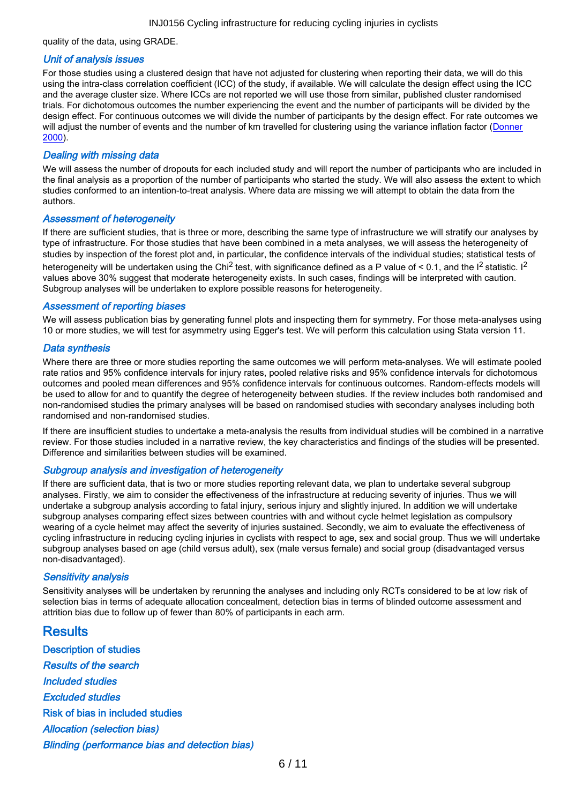quality of the data, using GRADE.

#### Unit of analysis issues

For those studies using a clustered design that have not adjusted for clustering when reporting their data, we will do this using the intra-class correlation coefficient (ICC) of the study, if available. We will calculate the design effect using the ICC and the average cluster size. Where ICCs are not reported we will use those from similar, published cluster randomised trials. For dichotomous outcomes the number experiencing the event and the number of participants will be divided by the design effect. For continuous outcomes we will divide the number of participants by the design effect. For rate outcomes we will adjust the number of events and the number of km travelled for clustering using the variance inflation factor ([Donner](#page-7-0) [2000](#page-7-0)).

#### Dealing with missing data

We will assess the number of dropouts for each included study and will report the number of participants who are included in the final analysis as a proportion of the number of participants who started the study. We will also assess the extent to which studies conformed to an intention-to-treat analysis. Where data are missing we will attempt to obtain the data from the authors.

#### Assessment of heterogeneity

If there are sufficient studies, that is three or more, describing the same type of infrastructure we will stratify our analyses by type of infrastructure. For those studies that have been combined in a meta analyses, we will assess the heterogeneity of studies by inspection of the forest plot and, in particular, the confidence intervals of the individual studies; statistical tests of heterogeneity will be undertaken using the Chi<sup>2</sup> test, with significance defined as a P value of < 0.1, and the I<sup>2</sup> statistic, I<sup>2</sup> values above 30% suggest that moderate heterogeneity exists. In such cases, findings will be interpreted with caution. Subgroup analyses will be undertaken to explore possible reasons for heterogeneity.

#### Assessment of reporting biases

We will assess publication bias by generating funnel plots and inspecting them for symmetry. For those meta-analyses using 10 or more studies, we will test for asymmetry using Egger's test. We will perform this calculation using Stata version 11.

#### Data synthesis

Where there are three or more studies reporting the same outcomes we will perform meta-analyses. We will estimate pooled rate ratios and 95% confidence intervals for injury rates, pooled relative risks and 95% confidence intervals for dichotomous outcomes and pooled mean differences and 95% confidence intervals for continuous outcomes. Random-effects models will be used to allow for and to quantify the degree of heterogeneity between studies. If the review includes both randomised and non-randomised studies the primary analyses will be based on randomised studies with secondary analyses including both randomised and non-randomised studies.

If there are insufficient studies to undertake a meta-analysis the results from individual studies will be combined in a narrative review. For those studies included in a narrative review, the key characteristics and findings of the studies will be presented. Difference and similarities between studies will be examined.

#### Subgroup analysis and investigation of heterogeneity

If there are sufficient data, that is two or more studies reporting relevant data, we plan to undertake several subgroup analyses. Firstly, we aim to consider the effectiveness of the infrastructure at reducing severity of injuries. Thus we will undertake a subgroup analysis according to fatal injury, serious injury and slightly injured. In addition we will undertake subgroup analyses comparing effect sizes between countries with and without cycle helmet legislation as compulsory wearing of a cycle helmet may affect the severity of injuries sustained. Secondly, we aim to evaluate the effectiveness of cycling infrastructure in reducing cycling injuries in cyclists with respect to age, sex and social group. Thus we will undertake subgroup analyses based on age (child versus adult), sex (male versus female) and social group (disadvantaged versus non-disadvantaged).

#### Sensitivity analysis

Sensitivity analyses will be undertaken by rerunning the analyses and including only RCTs considered to be at low risk of selection bias in terms of adequate allocation concealment, detection bias in terms of blinded outcome assessment and attrition bias due to follow up of fewer than 80% of participants in each arm.

**Results** Description of studies Results of the search Included studies Excluded studies Risk of bias in included studies Allocation (selection bias) Blinding (performance bias and detection bias)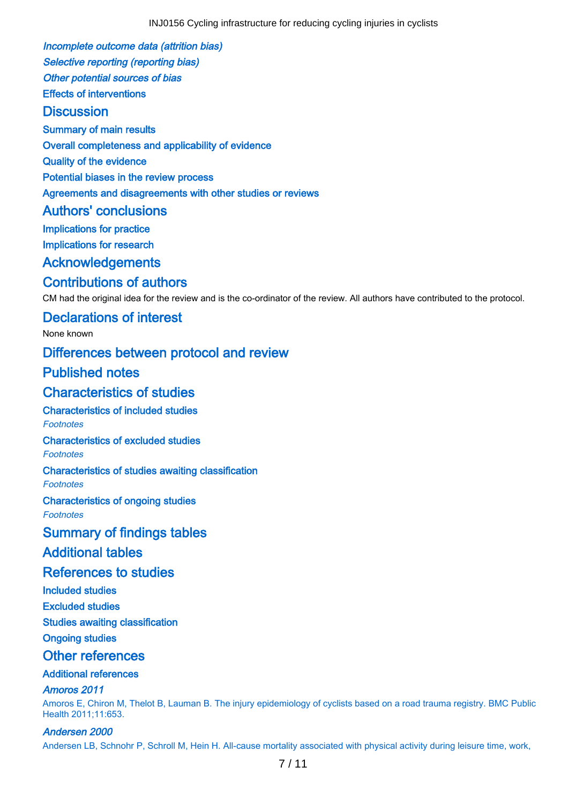<span id="page-6-0"></span>Incomplete outcome data (attrition bias) Selective reporting (reporting bias)

Other potential sources of bias Effects of interventions

## **Discussion**

Summary of main results

Overall completeness and applicability of evidence

Quality of the evidence

Potential biases in the review process

Agreements and disagreements with other studies or reviews

## Authors' conclusions

Implications for practice

Implications for research

## Acknowledgements

## Contributions of authors

CM had the original idea for the review and is the co-ordinator of the review. All authors have contributed to the protocol.

## Declarations of interest

None known

## Differences between protocol and review

## Published notes

## Characteristics of studies

Characteristics of included studies Footnotes

### Characteristics of excluded studies

Footnotes

# Characteristics of studies awaiting classification

**Footnotes** 

Characteristics of ongoing studies

Footnotes

## Summary of findings tables

## Additional tables

## References to studies

Included studies

Excluded studies

### Studies awaiting classification

Ongoing studies

## Other references

### Additional references

### Amoros 2011

Amoros E, Chiron M, Thelot B, Lauman B. The injury epidemiology of cyclists based on a road trauma registry. BMC Public Health 2011;11:653.

### Andersen 2000

Andersen LB, Schnohr P, Schroll M, Hein H. All-cause mortality associated with physical activity during leisure time, work,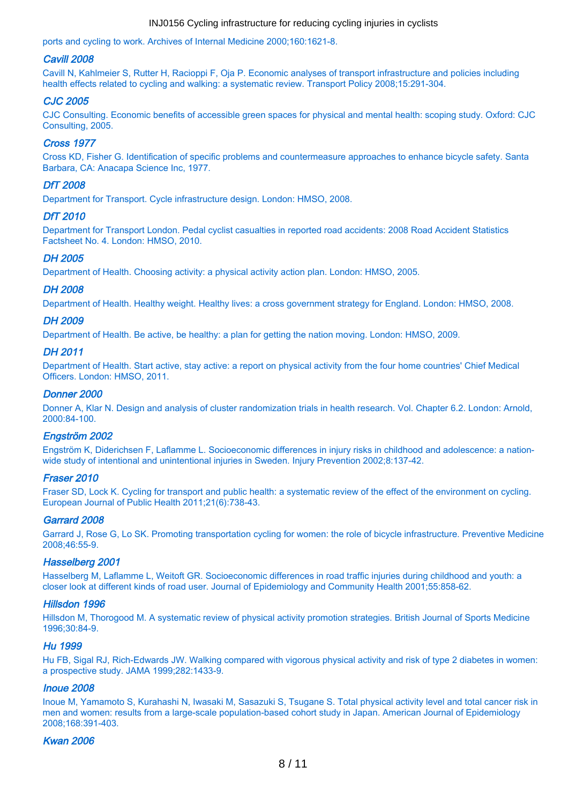<span id="page-7-0"></span>ports and cycling to work. Archives of Internal Medicine 2000;160:1621-8.

#### Cavill 2008

Cavill N, Kahlmeier S, Rutter H, Racioppi F, Oja P. Economic analyses of transport infrastructure and policies including health effects related to cycling and walking: a systematic review. Transport Policy 2008;15:291-304.

#### CJC 2005

CJC Consulting. Economic benefits of accessible green spaces for physical and mental health: scoping study. Oxford: CJC Consulting, 2005.

#### Cross 1977

Cross KD, Fisher G. Identification of specific problems and countermeasure approaches to enhance bicycle safety. Santa Barbara, CA: Anacapa Science Inc, 1977.

#### DfT 2008

Department for Transport. Cycle infrastructure design. London: HMSO, 2008.

#### DfT 2010

Department for Transport London. Pedal cyclist casualties in reported road accidents: 2008 Road Accident Statistics Factsheet No. 4. London: HMSO, 2010.

#### DH 2005

Department of Health. Choosing activity: a physical activity action plan. London: HMSO, 2005.

#### DH 2008

Department of Health. Healthy weight. Healthy lives: a cross government strategy for England. London: HMSO, 2008.

#### DH 2009

Department of Health. Be active, be healthy: a plan for getting the nation moving. London: HMSO, 2009.

#### DH 2011

Department of Health. Start active, stay active: a report on physical activity from the four home countries' Chief Medical Officers. London: HMSO, 2011.

#### Donner 2000

Donner A, Klar N. Design and analysis of cluster randomization trials in health research. Vol. Chapter 6.2. London: Arnold, 2000:84-100.

#### Engström 2002

Engström K, Diderichsen F, Laflamme L. Socioeconomic differences in injury risks in childhood and adolescence: a nationwide study of intentional and unintentional injuries in Sweden. Injury Prevention 2002;8:137-42.

#### Fraser 2010

Fraser SD, Lock K. Cycling for transport and public health: a systematic review of the effect of the environment on cycling. European Journal of Public Health 2011;21(6):738-43.

#### Garrard 2008

Garrard J, Rose G, Lo SK. Promoting transportation cycling for women: the role of bicycle infrastructure. Preventive Medicine 2008;46:55-9.

#### Hasselberg 2001

Hasselberg M, Laflamme L, Weitoft GR. Socioeconomic differences in road traffic injuries during childhood and youth: a closer look at different kinds of road user. Journal of Epidemiology and Community Health 2001;55:858-62.

#### Hillsdon 1996

Hillsdon M, Thorogood M. A systematic review of physical activity promotion strategies. British Journal of Sports Medicine 1996;30:84-9.

#### Hu 1999

Hu FB, Sigal RJ, Rich-Edwards JW. Walking compared with vigorous physical activity and risk of type 2 diabetes in women: a prospective study. JAMA 1999;282:1433-9.

#### Inoue 2008

Inoue M, Yamamoto S, Kurahashi N, Iwasaki M, Sasazuki S, Tsugane S. Total physical activity level and total cancer risk in men and women: results from a large-scale population-based cohort study in Japan. American Journal of Epidemiology 2008;168:391-403.

#### Kwan 2006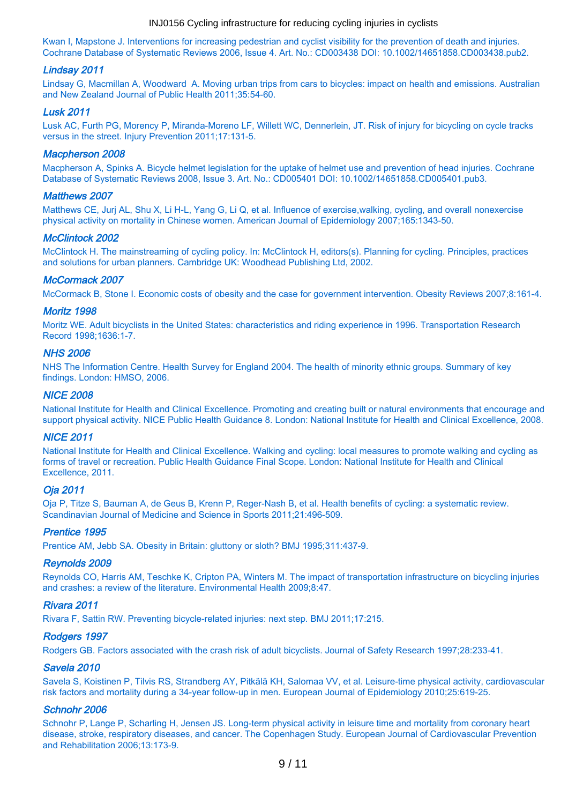<span id="page-8-0"></span>Kwan I, Mapstone J. Interventions for increasing pedestrian and cyclist visibility for the prevention of death and injuries. Cochrane Database of Systematic Reviews 2006, Issue 4. Art. No.: CD003438 DOI: 10.1002/14651858.CD003438.pub2.

#### Lindsay 2011

Lindsay G, Macmillan A, Woodward A. Moving urban trips from cars to bicycles: impact on health and emissions. Australian and New Zealand Journal of Public Health 2011;35:54-60.

#### Lusk 2011

Lusk AC, Furth PG, Morency P, Miranda-Moreno LF, Willett WC, Dennerlein, JT. Risk of injury for bicycling on cycle tracks versus in the street. Injury Prevention 2011;17:131-5.

#### Macpherson 2008

Macpherson A, Spinks A. Bicycle helmet legislation for the uptake of helmet use and prevention of head injuries. Cochrane Database of Systematic Reviews 2008, Issue 3. Art. No.: CD005401 DOI: 10.1002/14651858.CD005401.pub3.

#### Matthews 2007

Matthews CE, Jurj AL, Shu X, Li H-L, Yang G, Li Q, et al. Influence of exercise,walking, cycling, and overall nonexercise physical activity on mortality in Chinese women. American Journal of Epidemiology 2007;165:1343-50.

#### McClintock 2002

McClintock H. The mainstreaming of cycling policy. In: McClintock H, editors(s). Planning for cycling. Principles, practices and solutions for urban planners. Cambridge UK: Woodhead Publishing Ltd, 2002.

#### McCormack 2007

McCormack B, Stone I. Economic costs of obesity and the case for government intervention. Obesity Reviews 2007;8:161-4.

#### Moritz 1998

Moritz WE. Adult bicyclists in the United States: characteristics and riding experience in 1996. Transportation Research Record 1998;1636:1-7.

#### NHS 2006

NHS The Information Centre. Health Survey for England 2004. The health of minority ethnic groups. Summary of key findings. London: HMSO, 2006.

#### NICE 2008

National Institute for Health and Clinical Excellence. Promoting and creating built or natural environments that encourage and support physical activity. NICE Public Health Guidance 8. London: National Institute for Health and Clinical Excellence, 2008.

#### NICE 2011

National Institute for Health and Clinical Excellence. Walking and cycling: local measures to promote walking and cycling as forms of travel or recreation. Public Health Guidance Final Scope. London: National Institute for Health and Clinical Excellence, 2011.

#### Oja 2011

Oja P, Titze S, Bauman A, de Geus B, Krenn P, Reger-Nash B, et al. Health benefits of cycling: a systematic review. Scandinavian Journal of Medicine and Science in Sports 2011;21:496-509.

#### Prentice 1995

Prentice AM, Jebb SA. Obesity in Britain: gluttony or sloth? BMJ 1995;311:437-9.

#### Reynolds 2009

Reynolds CO, Harris AM, Teschke K, Cripton PA, Winters M. The impact of transportation infrastructure on bicycling injuries and crashes: a review of the literature. Environmental Health 2009;8:47.

#### Rivara 2011

Rivara F, Sattin RW. Preventing bicycle-related injuries: next step. BMJ 2011;17:215.

#### Rodgers 1997

Rodgers GB. Factors associated with the crash risk of adult bicyclists. Journal of Safety Research 1997;28:233-41.

#### Savela 2010

Savela S, Koistinen P, Tilvis RS, Strandberg AY, Pitkälä KH, Salomaa VV, et al. Leisure-time physical activity, cardiovascular risk factors and mortality during a 34-year follow-up in men. European Journal of Epidemiology 2010;25:619-25.

#### Schnohr 2006

Schnohr P, Lange P, Scharling H, Jensen JS. Long-term physical activity in leisure time and mortality from coronary heart disease, stroke, respiratory diseases, and cancer. The Copenhagen Study. European Journal of Cardiovascular Prevention and Rehabilitation 2006;13:173-9.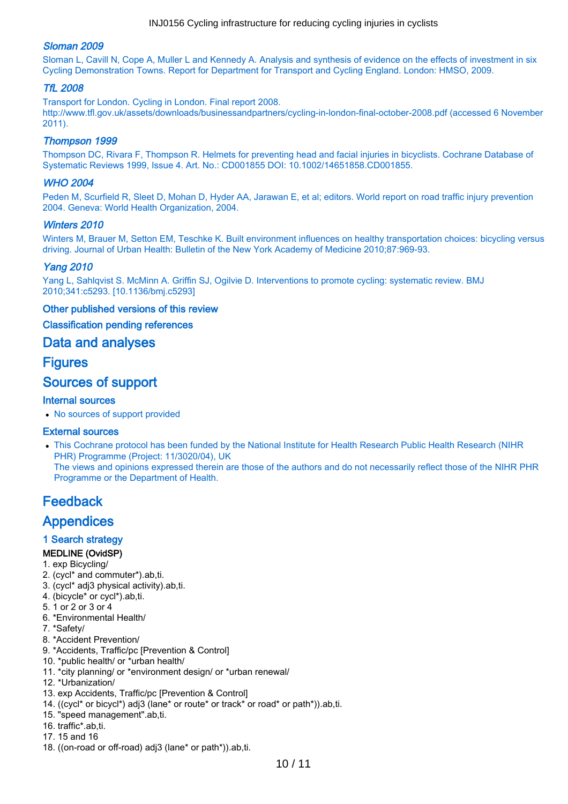### <span id="page-9-0"></span>Sloman 2009

Sloman L, Cavill N, Cope A, Muller L and Kennedy A. Analysis and synthesis of evidence on the effects of investment in six Cycling Demonstration Towns. Report for Department for Transport and Cycling England. London: HMSO, 2009.

#### TfL 2008

Transport for London. Cycling in London. Final report 2008. http://www.tfl.gov.uk/assets/downloads/businessandpartners/cycling-in-london-final-october-2008.pdf (accessed 6 November 2011).

#### Thompson 1999

Thompson DC, Rivara F, Thompson R. Helmets for preventing head and facial injuries in bicyclists. Cochrane Database of Systematic Reviews 1999, Issue 4. Art. No.: CD001855 DOI: 10.1002/14651858.CD001855.

#### WHO 2004

Peden M, Scurfield R, Sleet D, Mohan D, Hyder AA, Jarawan E, et al; editors. World report on road traffic injury prevention 2004. Geneva: World Health Organization, 2004.

#### Winters 2010

Winters M, Brauer M, Setton EM, Teschke K. Built environment influences on healthy transportation choices: bicycling versus driving. Journal of Urban Health: Bulletin of the New York Academy of Medicine 2010;87:969-93.

#### Yang 2010

Yang L, Sahlqvist S. McMinn A. Griffin SJ, Ogilvie D. Interventions to promote cycling: systematic review. BMJ 2010;341:c5293. [10.1136/bmj.c5293]

#### Other published versions of this review

#### Classification pending references

### Data and analyses

### **Figures**

## Sources of support

#### Internal sources

No sources of support provided

#### External sources

This Cochrane protocol has been funded by the National Institute for Health Research Public Health Research (NIHR PHR) Programme (Project: 11/3020/04), UK The views and opinions expressed therein are those of the authors and do not necessarily reflect those of the NIHR PHR Programme or the Department of Health.

# Feedback

## **Appendices**

#### 1 Search strategy

#### MEDLINE (OvidSP)

- 1. exp Bicycling/
- 2. (cycl\* and commuter\*).ab,ti.
- 3. (cycl\* adj3 physical activity).ab,ti.
- 4. (bicycle\* or cycl\*).ab,ti.
- 5. 1 or 2 or 3 or 4
- 6. \*Environmental Health/
- 7. \*Safety/
- 8. \*Accident Prevention/
- 9. \*Accidents, Traffic/pc [Prevention & Control]
- 10. \*public health/ or \*urban health/
- 11. \*city planning/ or \*environment design/ or \*urban renewal/
- 12. \*Urbanization/
- 13. exp Accidents, Traffic/pc [Prevention & Control]
- 14. ((cycl\* or bicycl\*) adj3 (lane\* or route\* or track\* or road\* or path\*)).ab,ti.
- 15. "speed management".ab,ti.
- 16. traffic\*.ab,ti.
- 17. 15 and 16
- 18. ((on-road or off-road) adj3 (lane\* or path\*)).ab,ti.